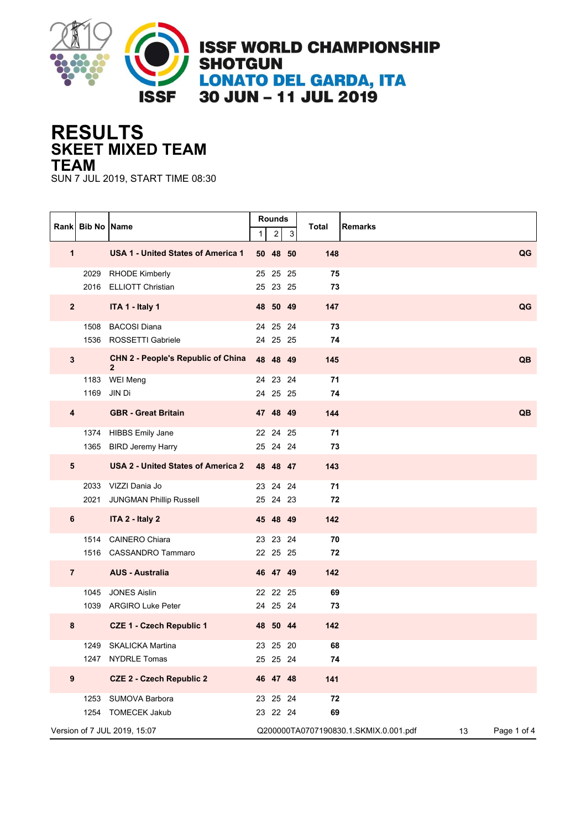

## **SKEET MIXED TEAM RESULTS TEAM**

SUN 7 JUL 2019, START TIME 08:30

|                         | Rank Bib No Name |                                                           | 1 | Rounds<br>$\overline{\mathbf{c}}$ | 3  | Total<br><b>Remarks</b>                     |             |
|-------------------------|------------------|-----------------------------------------------------------|---|-----------------------------------|----|---------------------------------------------|-------------|
| 1                       |                  | <b>USA 1 - United States of America 1</b>                 |   | 50 48 50                          |    | 148                                         | QG          |
|                         | 2029             | <b>RHODE Kimberly</b><br>2016 ELLIOTT Christian           |   | 25 25<br>25 23 25                 | 25 | 75<br>73                                    |             |
| $\overline{\mathbf{2}}$ |                  | ITA 1 - Italy 1                                           |   | 48 50 49                          |    | 147                                         | QG          |
|                         | 1508             | <b>BACOSI Diana</b><br>1536 ROSSETTI Gabriele             |   | 24 25 24<br>24 25 25              |    | 73<br>74                                    |             |
| $\mathbf{3}$            |                  | <b>CHN 2 - People's Republic of China</b><br>$\mathbf{2}$ |   | 48 48 49                          |    | 145                                         | QB          |
|                         | 1183<br>1169     | WEI Meng<br>JIN Di                                        |   | 24 23 24<br>24 25 25              |    | 71<br>74                                    |             |
| 4                       |                  | <b>GBR</b> - Great Britain                                |   | 47 48 49                          |    | 144                                         | QB          |
|                         |                  | 1374 HIBBS Emily Jane<br>1365 BIRD Jeremy Harry           |   | 22 24 25<br>25 24 24              |    | 71<br>73                                    |             |
| $5\phantom{1}$          |                  | USA 2 - United States of America 2                        |   | 48 48 47                          |    | 143                                         |             |
|                         | 2021             | 2033 VIZZI Dania Jo<br><b>JUNGMAN Phillip Russell</b>     |   | 23 24 24<br>25 24 23              |    | 71<br>72                                    |             |
| 6                       |                  | ITA 2 - Italy 2                                           |   | 45 48 49                          |    | 142                                         |             |
|                         |                  | 1514 CAINERO Chiara<br>1516 CASSANDRO Tammaro             |   | 23 23 24<br>22 25 25              |    | 70<br>72                                    |             |
| $\overline{7}$          |                  | <b>AUS - Australia</b>                                    |   | 46 47 49                          |    | 142                                         |             |
|                         | 1045             | <b>JONES Aislin</b><br>1039 ARGIRO Luke Peter             |   | 22 22 25<br>24 25 24              |    | 69<br>73                                    |             |
| 8                       |                  | <b>CZE 1 - Czech Republic 1</b>                           |   | 48 50 44                          |    | 142                                         |             |
|                         | 1249             | <b>SKALICKA Martina</b><br>1247 NYDRLE Tomas              |   | 23 25 20<br>25 25 24              |    | 68<br>74                                    |             |
| $\boldsymbol{9}$        |                  | <b>CZE 2 - Czech Republic 2</b>                           |   | 46 47 48                          |    | 141                                         |             |
|                         |                  | 1253 SUMOVA Barbora<br>1254 TOMECEK Jakub                 |   | 23  25  24<br>23 22 24            |    | 72<br>69                                    |             |
|                         |                  | Version of 7 JUL 2019, 15:07                              |   |                                   |    | Q200000TA0707190830.1.SKMIX.0.001.pdf<br>13 | Page 1 of 4 |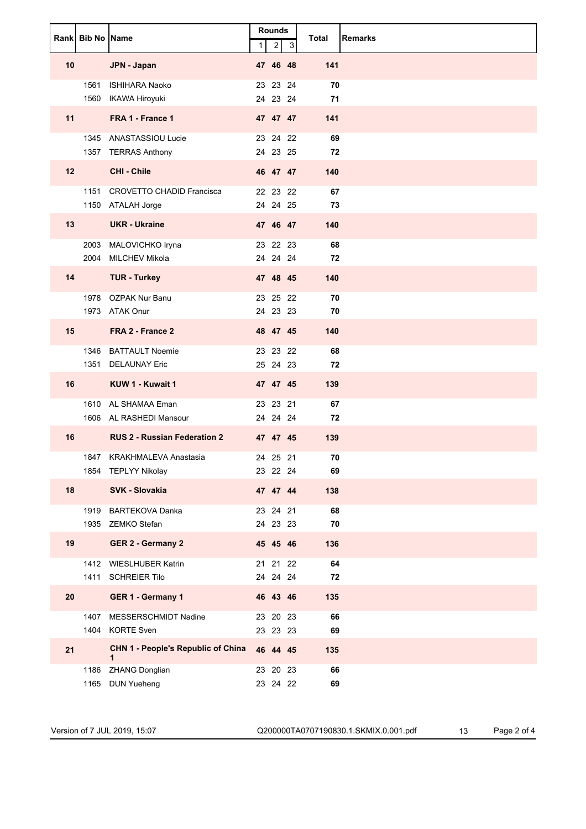|    | Rank Bib No Name |                                                                | 1 | <b>Rounds</b><br>$\overline{2}$ | 3 | Total            | <b>Remarks</b> |
|----|------------------|----------------------------------------------------------------|---|---------------------------------|---|------------------|----------------|
| 10 |                  | JPN - Japan                                                    |   | 47 46 48                        |   | 141              |                |
|    | 1561             | <b>ISHIHARA Naoko</b><br>1560 IKAWA Hiroyuki                   |   | 23 23 24<br>24 23 24            |   | 70<br>71         |                |
| 11 |                  | FRA 1 - France 1                                               |   | 47 47 47                        |   | 141              |                |
|    |                  | 1345 ANASTASSIOU Lucie<br>1357 TERRAS Anthony                  |   | 23 24 22<br>24 23 25            |   | 69<br>72         |                |
| 12 |                  | <b>CHI - Chile</b>                                             |   | 46 47 47                        |   | 140              |                |
|    |                  | 1151 CROVETTO CHADID Francisca<br>1150 ATALAH Jorge            |   | 22 23 22<br>24 24 25            |   | 67<br>73         |                |
| 13 |                  | <b>UKR</b> - Ukraine                                           |   | 47 46 47                        |   | 140              |                |
|    |                  | 2003 MALOVICHKO Iryna<br>2004 MILCHEV Mikola                   |   | 23 22 23<br>24 24 24            |   | 68<br>72         |                |
| 14 |                  | <b>TUR - Turkey</b>                                            |   | 47 48 45                        |   | 140              |                |
|    |                  | 1978 OZPAK Nur Banu<br>1973 ATAK Onur                          |   | 23 25 22<br>24 23 23            |   | 70<br>70         |                |
| 15 |                  | FRA 2 - France 2                                               |   | 48 47 45                        |   | 140              |                |
|    |                  | 1346 BATTAULT Noemie<br>1351 DELAUNAY Eric                     |   | 23 23 22<br>25 24 23            |   | 68<br>72         |                |
| 16 |                  | KUW 1 - Kuwait 1                                               |   | 47 47 45                        |   | 139              |                |
|    |                  | 1610 AL SHAMAA Eman                                            |   | 23 23 21                        |   | 67               |                |
| 16 |                  | 1606 AL RASHEDI Mansour<br><b>RUS 2 - Russian Federation 2</b> |   | 24 24 24<br>47 47 45            |   | 72<br>139        |                |
|    |                  | 1847 KRAKHMALEVA Anastasia                                     |   | 24 25 21                        |   | 70               |                |
|    |                  | 1854 TEPLYY Nikolay                                            |   | 23 22 24                        |   | 69               |                |
| 18 |                  | SVK - Slovakia                                                 |   | 47 47 44                        |   | 138              |                |
|    |                  | 1919 BARTEKOVA Danka<br>1935 ZEMKO Stefan                      |   | 23 24 21<br>24 23 23            |   | 68<br>${\bf 70}$ |                |
| 19 |                  | <b>GER 2 - Germany 2</b>                                       |   | 45 45 46                        |   | 136              |                |
|    |                  | 1412 WIESLHUBER Katrin                                         |   | 21 21 22                        |   | 64               |                |
| 20 |                  | 1411 SCHREIER Tilo<br>GER 1 - Germany 1                        |   | 24  24  24<br>46 43 46          |   | 72<br>135        |                |
|    |                  | 1407 MESSERSCHMIDT Nadine                                      |   | 23 20 23                        |   | 66               |                |
|    |                  | 1404 KORTE Sven                                                |   | 23 23 23                        |   | 69               |                |
| 21 |                  | <b>CHN 1 - People's Republic of China</b><br>$\mathbf{1}$      |   | 46 44 45                        |   | 135              |                |
|    | 1186             | <b>ZHANG Donglian</b><br>1165 DUN Yueheng                      |   | 23 20 23<br>23 24 22            |   | 66<br>69         |                |

Version of 7 JUL 2019, 15:07 Q200000TA0707190830.1.SKMIX.0.001.pdf 13 Page 2 of 4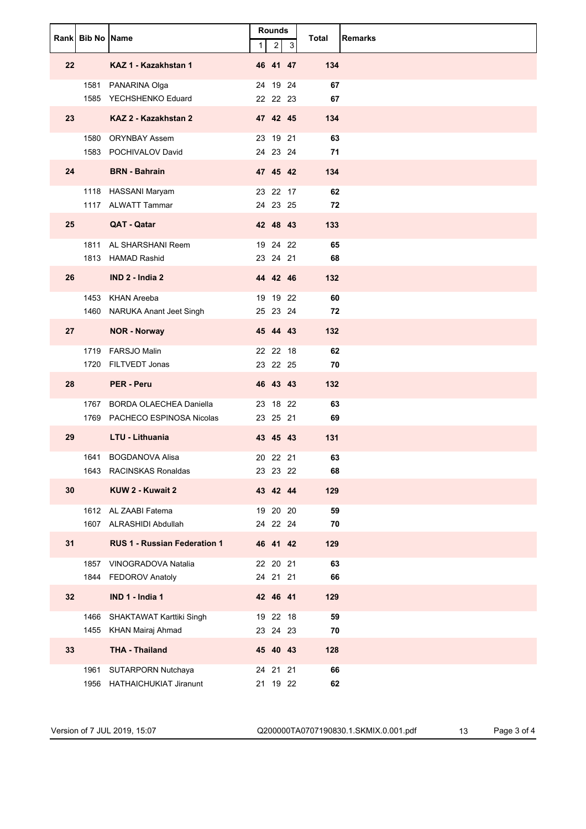|                 | Rank Bib No Name |                                                         | $\mathbf{1}$ | <b>Rounds</b><br>$\overline{c}$ | 3 | Total            | <b>Remarks</b> |
|-----------------|------------------|---------------------------------------------------------|--------------|---------------------------------|---|------------------|----------------|
| 22              |                  | KAZ 1 - Kazakhstan 1                                    |              | 46 41 47                        |   | 134              |                |
|                 |                  | 1581 PANARINA Olga<br>1585 YECHSHENKO Eduard            |              | 24 19 24<br>22 22 23            |   | 67<br>67         |                |
| 23              |                  | KAZ 2 - Kazakhstan 2                                    |              | 47 42 45                        |   | 134              |                |
|                 |                  | 1580 ORYNBAY Assem<br>1583 POCHIVALOV David             |              | 23 19 21<br>24 23 24            |   | 63<br>71         |                |
| 24              |                  | <b>BRN</b> - Bahrain                                    |              | 47 45 42                        |   | 134              |                |
|                 |                  | 1118 HASSANI Maryam<br>1117 ALWATT Tammar               |              | 23 22 17<br>24 23 25            |   | 62<br>72         |                |
| 25              |                  | QAT - Qatar                                             |              | 42 48 43                        |   | 133              |                |
|                 |                  | 1811 AL SHARSHANI Reem<br>1813 HAMAD Rashid             |              | 19 24 22<br>23 24 21            |   | 65<br>68         |                |
| 26              |                  | IND 2 - India 2                                         |              | 44 42 46                        |   | 132              |                |
|                 |                  | 1453 KHAN Areeba<br>1460 NARUKA Anant Jeet Singh        |              | 19 19 22<br>25 23 24            |   | 60<br>72         |                |
| 27              |                  | <b>NOR - Norway</b>                                     |              | 45 44 43                        |   | 132              |                |
|                 |                  | 1719 FARSJO Malin                                       |              | 22 22 18                        |   | 62               |                |
| 28              | 1720             | FILTVEDT Jonas<br><b>PER - Peru</b>                     |              | 23 22 25<br>46 43 43            |   | 70<br>132        |                |
|                 |                  | 1767 BORDA OLAECHEA Daniella                            |              | 23 18 22                        |   | 63               |                |
| 29              |                  | 1769 PACHECO ESPINOSA Nicolas<br><b>LTU - Lithuania</b> |              | 23 25 21<br>43 45 43            |   | 69<br>131        |                |
|                 |                  | 1641 BOGDANOVA Alisa                                    |              | 20 22 21                        |   | 63               |                |
|                 |                  | 1643 RACINSKAS Ronaldas                                 |              | 23  23  22                      |   | 68               |                |
| 30              |                  | KUW 2 - Kuwait 2                                        |              | 43 42 44                        |   | 129              |                |
|                 |                  | 1612 AL ZAABI Fatema<br>1607 ALRASHIDI Abdullah         |              | 19 20 20<br>24 22 24            |   | 59<br>70         |                |
| 31              |                  | <b>RUS 1 - Russian Federation 1</b>                     |              | 46 41 42                        |   | 129              |                |
|                 | 1857<br>1844     | VINOGRADOVA Natalia<br><b>FEDOROV Anatoly</b>           |              | 22 20 21<br>24 21 21            |   | 63<br>66         |                |
| 32 <sub>2</sub> |                  | IND 1 - India 1                                         |              | 42 46 41                        |   | 129              |                |
|                 | 1466<br>1455     | SHAKTAWAT Karttiki Singh<br>KHAN Mairaj Ahmad           |              | 19 22 18<br>23 24 23            |   | 59<br>${\bf 70}$ |                |
| 33              |                  | <b>THA - Thailand</b>                                   |              | 45 40 43                        |   | 128              |                |
|                 | 1961<br>1956     | SUTARPORN Nutchaya<br><b>HATHAICHUKIAT Jiranunt</b>     |              | 24 21 21<br>21 19 22            |   | 66<br>62         |                |

Version of 7 JUL 2019, 15:07 Q200000TA0707190830.1.SKMIX.0.001.pdf 13 Page 3 of 4